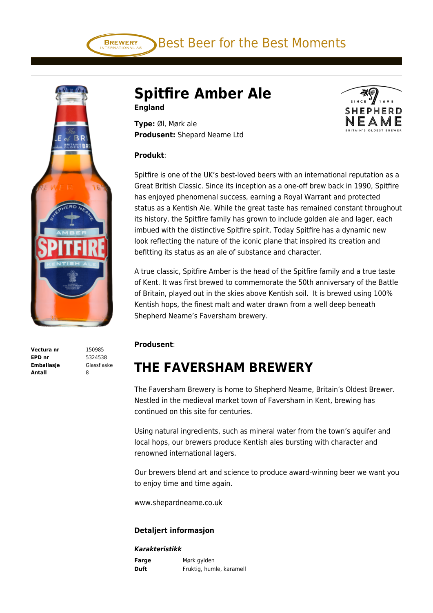Best Beer for the Best Moments



**Vectura nr** 150985 **EPD nr** 5324538 **Emballasje** Glassflaske **Antall** 8

# **Spitfire Amber Ale England**

**Type:** Øl, Mørk ale **Produsent:** Shepard Neame Ltd

#### **Produkt**:

**BREWERY** 

Spitfire is one of the UK's best-loved beers with an international reputation as a Great British Classic. Since its inception as a one-off brew back in 1990, Spitfire has enjoyed phenomenal success, earning a Royal Warrant and protected status as a Kentish Ale. While the great taste has remained constant throughout its history, the Spitfire family has grown to include golden ale and lager, each imbued with the distinctive Spitfire spirit. Today Spitfire has a dynamic new look reflecting the nature of the iconic plane that inspired its creation and befitting its status as an ale of substance and character.

A true classic, Spitfire Amber is the head of the Spitfire family and a true taste of Kent. It was first brewed to commemorate the 50th anniversary of the Battle of Britain, played out in the skies above Kentish soil. It is brewed using 100% Kentish hops, the finest malt and water drawn from a well deep beneath Shepherd Neame's Faversham brewery.

#### **Produsent**:

# **THE FAVERSHAM BREWERY**

The Faversham Brewery is home to Shepherd Neame, Britain's Oldest Brewer. Nestled in the medieval market town of Faversham in Kent, brewing has continued on this site for centuries.

Using natural ingredients, such as mineral water from the town's aquifer and local hops, our brewers produce Kentish ales bursting with character and renowned international lagers.

Our brewers blend art and science to produce award-winning beer we want you to enjoy time and time again.

www.shepardneame.co.uk

### **Detaljert informasjon**

#### *Karakteristikk*

| Farge | Mørk gylden              |
|-------|--------------------------|
| Duft  | Fruktig, humle, karamell |